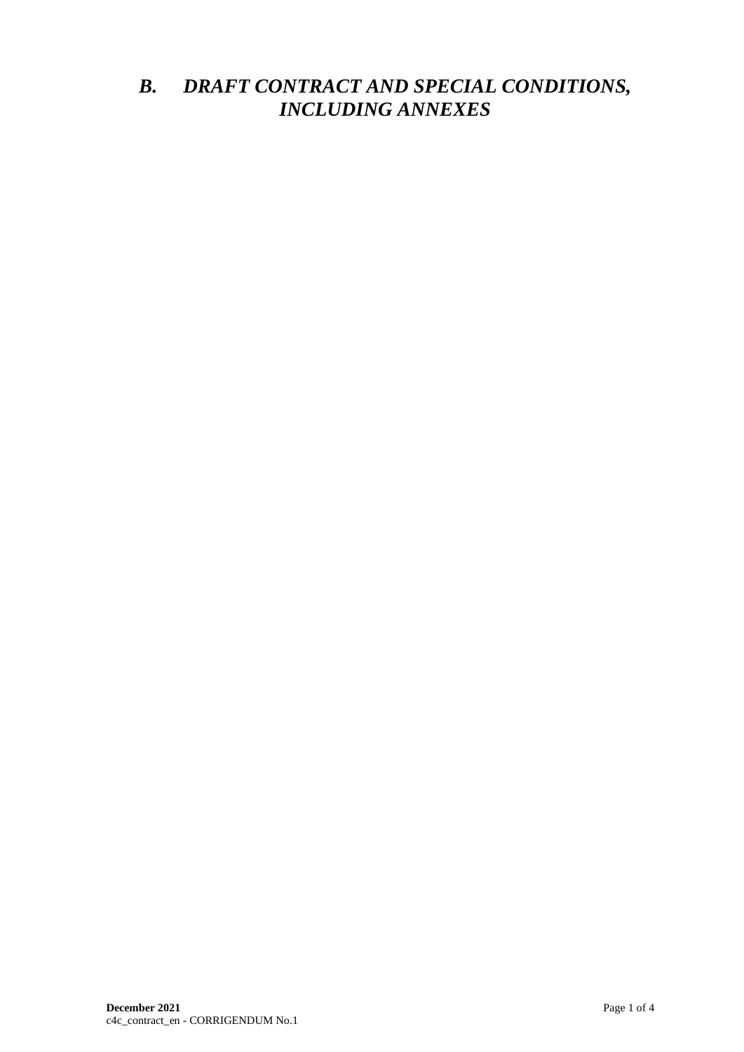## *B. DRAFT CONTRACT AND SPECIAL CONDITIONS, INCLUDING ANNEXES*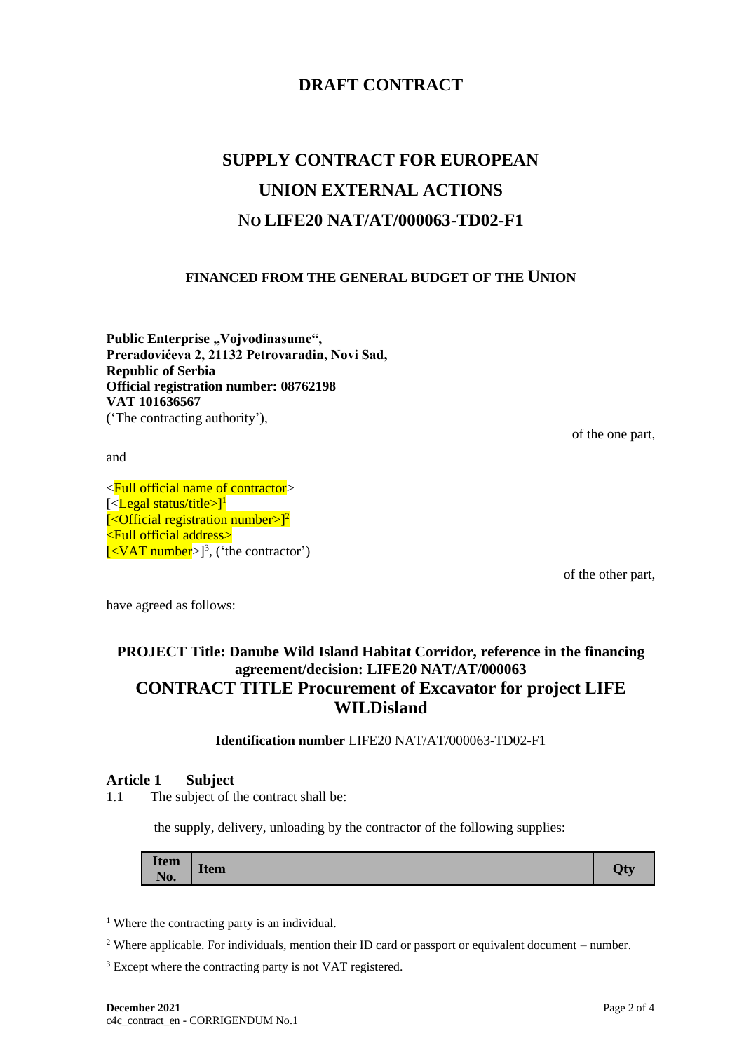## **DRAFT CONTRACT**

# **SUPPLY CONTRACT FOR EUROPEAN UNION EXTERNAL ACTIONS** N**O LIFE20 NAT/AT/000063-TD02-F1**

#### **FINANCED FROM THE GENERAL BUDGET OF THE UNION**

Public Enterprise "Vojvodinasume", **Preradovićeva 2, 21132 Petrovaradin, Novi Sad, Republic of Serbia Official registration number: 08762198 VAT 101636567** ('The contracting authority'),

of the one part,

and

<Full official name of contractor> [<**Legal status/title>]<sup>1</sup>**  $\left[ \langle \text{Official registration number} \rangle \right]^2$ <Full official address>  $\left[ <$ VAT number $>$ ]<sup>3</sup>, ('the contractor')

of the other part,

have agreed as follows:

## **PROJECT Title: Danube Wild Island Habitat Corridor, reference in the financing agreement/decision: LIFE20 NAT/AT/000063 CONTRACT TITLE Procurement of Excavator for project LIFE WILDisland**

**Identification number** LIFE20 NAT/AT/000063-TD02-F1

#### **Article 1 Subject**

1.1 The subject of the contract shall be:

the supply, delivery, unloading by the contractor of the following supplies:

| <b>Item</b><br>$\mathbf{r}$<br>Qty<br><b>Item</b><br>No. |
|----------------------------------------------------------|
|----------------------------------------------------------|

<sup>&</sup>lt;sup>1</sup> Where the contracting party is an individual.

<sup>2</sup> Where applicable. For individuals, mention their ID card or passport or equivalent document – number.

<sup>&</sup>lt;sup>3</sup> Except where the contracting party is not VAT registered.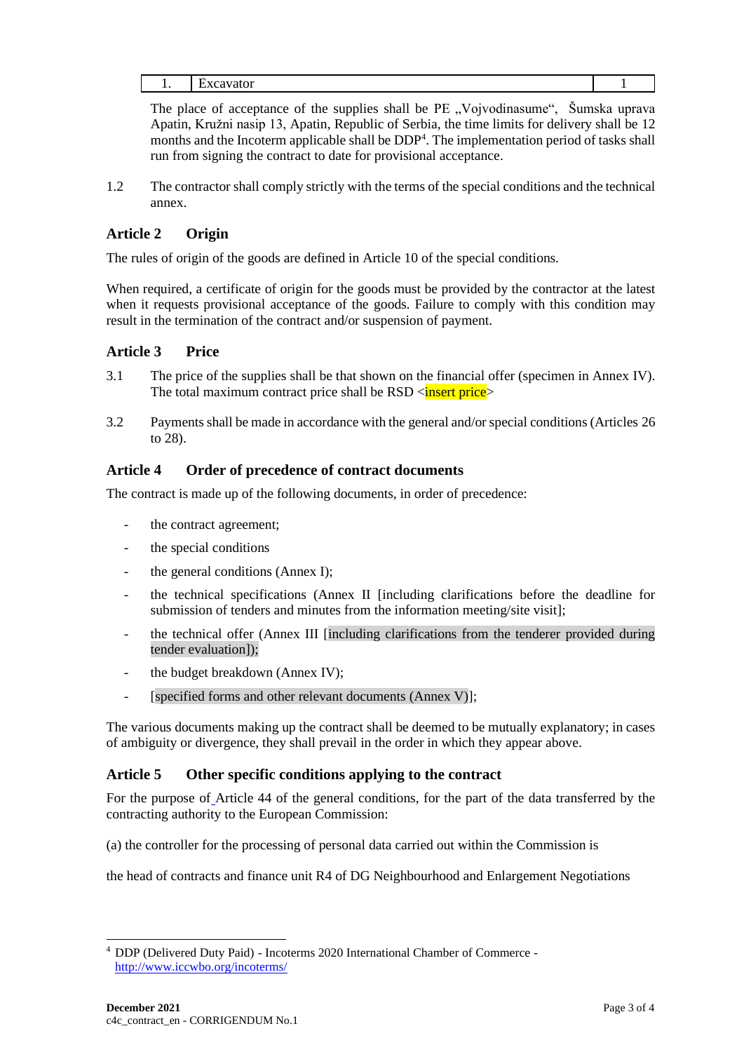The place of acceptance of the supplies shall be PE "Vojvodinasume", Šumska uprava Apatin, Kružni nasip 13, Apatin, Republic of Serbia, the time limits for delivery shall be 12 months and the Incoterm applicable shall be DDP<sup>4</sup>. The implementation period of tasks shall run from signing the contract to date for provisional acceptance.

1.2 The contractor shall comply strictly with the terms of the special conditions and the technical annex.

## **Article 2 Origin**

The rules of origin of the goods are defined in Article 10 of the special conditions.

When required, a certificate of origin for the goods must be provided by the contractor at the latest when it requests provisional acceptance of the goods. Failure to comply with this condition may result in the termination of the contract and/or suspension of payment.

### **Article 3 Price**

- 3.1 The price of the supplies shall be that shown on the financial offer (specimen in Annex IV). The total maximum contract price shall be  $RSD <$ **insert price**>
- 3.2 Payments shall be made in accordance with the general and/or special conditions (Articles 26 to 28).

### **Article 4 Order of precedence of contract documents**

The contract is made up of the following documents, in order of precedence:

- the contract agreement;
- the special conditions
- the general conditions (Annex I);
- the technical specifications (Annex II [including clarifications before the deadline for submission of tenders and minutes from the information meeting/site visit];
- the technical offer (Annex III [including clarifications from the tenderer provided during tender evaluation]);
- the budget breakdown (Annex IV);
- [specified forms and other relevant documents (Annex V)];

The various documents making up the contract shall be deemed to be mutually explanatory; in cases of ambiguity or divergence, they shall prevail in the order in which they appear above.

#### **Article 5 Other specific conditions applying to the contract**

For the purpose of Article 44 of the general conditions, for the part of the data transferred by the contracting authority to the European Commission:

(a) the controller for the processing of personal data carried out within the Commission is

the head of contracts and finance unit R4 of DG Neighbourhood and Enlargement Negotiations

<sup>4</sup> DDP (Delivered Duty Paid) - Incoterms 2020 International Chamber of Commerce <http://www.iccwbo.org/incoterms/>